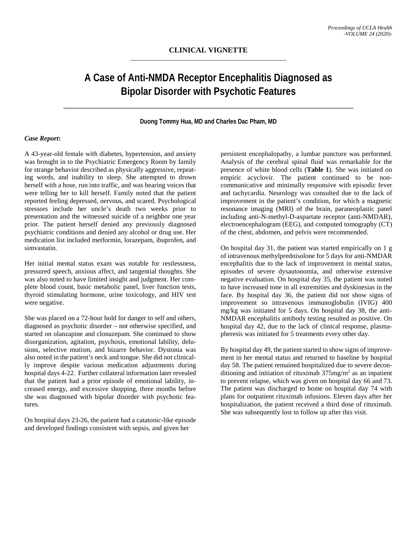# **A Case of Anti-NMDA Receptor Encephalitis Diagnosed as Bipolar Disorder with Psychotic Features**

#### **Duong Tommy Hua, MD and Charles Dac Pham, MD**

## *Case Report***:**

A 43-year-old female with diabetes, hypertension, and anxiety was brought in to the Psychiatric Emergency Room by family for strange behavior described as physically aggressive, repeating words, and inability to sleep. She attempted to drown herself with a hose, run into traffic, and was hearing voices that were telling her to kill herself. Family noted that the patient reported feeling depressed, nervous, and scared. Psychological stressors include her uncle's death two weeks prior to presentation and the witnessed suicide of a neighbor one year prior. The patient herself denied any previously diagnosed psychiatric conditions and denied any alcohol or drug use. Her medication list included metformin, lorazepam, ibuprofen, and simvastatin.

Her initial mental status exam was notable for restlessness, pressured speech, anxious affect, and tangential thoughts. She was also noted to have limited insight and judgment. Her complete blood count, basic metabolic panel, liver function tests, thyroid stimulating hormone, urine toxicology, and HIV test were negative.

She was placed on a 72-hour hold for danger to self and others, diagnosed as psychotic disorder – not otherwise specified, and started on olanzapine and clonazepam. She continued to show disorganization, agitation, psychosis, emotional lability, delusions, selective mutism, and bizarre behavior. Dystonia was also noted in the patient's neck and tongue. She did not clinically improve despite various medication adjustments during hospital days 4-22. Further collateral information later revealed that the patient had a prior episode of emotional lability, increased energy, and excessive shopping, three months before she was diagnosed with bipolar disorder with psychotic features.

On hospital days 23-26, the patient had a catatonic-like episode and developed findings consistent with sepsis, and given her

persistent encephalopathy, a lumbar puncture was performed. Analysis of the cerebral spinal fluid was remarkable for the presence of white blood cells (**Table 1**). She was initiated on empiric acyclovir. The patient continued to be noncommunicative and minimally responsive with episodic fever and tachycardia. Neurology was consulted due to the lack of improvement in the patient's condition, for which a magnetic resonance imaging (MRI) of the brain, paraneoplastic panel including anti-N-methyl-D-aspartate receptor (anti-NMDAR), electroencephalogram (EEG), and computed tomography (CT) of the chest, abdomen, and pelvis were recommended.

On hospital day 31, the patient was started empirically on 1 g of intravenous methylprednisolone for 5 days for anti-NMDAR encephalitis due to the lack of improvement in mental status, episodes of severe dysautonomia, and otherwise extensive negative evaluation. On hospital day 35, the patient was noted to have increased tone in all extremities and dyskinesias in the face. By hospital day 36, the patient did not show signs of improvement so intravenous immunoglobulin (IVIG) 400 mg/kg was initiated for 5 days. On hospital day 38, the anti-NMDAR encephalitis antibody testing resulted as positive. On hospital day 42, due to the lack of clinical response, plasmapheresis was initiated for 5 treatments every other day.

By hospital day 49, the patient started to show signs of improvement in her mental status and returned to baseline by hospital day 58. The patient remained hospitalized due to severe deconditioning and initiation of rituximab  $375mg/m<sup>2</sup>$  as an inpatient to prevent relapse, which was given on hospital day 66 and 73. The patient was discharged to home on hospital day 74 with plans for outpatient rituximab infusions. Eleven days after her hospitalization, the patient received a third dose of rituximab. She was subsequently lost to follow up after this visit.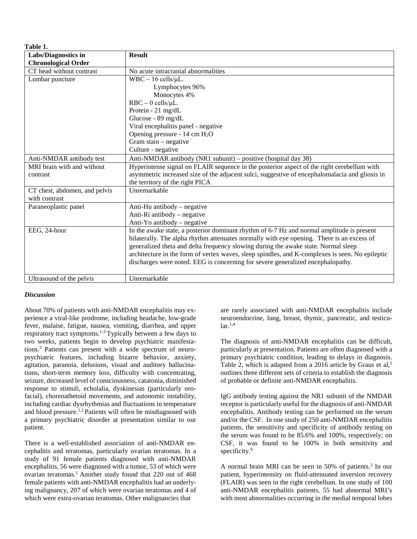**Table 1.**

| 1 avie 1.                     |                                                                                                 |  |
|-------------------------------|-------------------------------------------------------------------------------------------------|--|
| <b>Labs/Diagnostics in</b>    | <b>Result</b>                                                                                   |  |
| <b>Chronological Order</b>    |                                                                                                 |  |
| CT head without contrast      | No acute intracranial abnormalities                                                             |  |
| Lumbar puncture               | $WBC - 16$ cells/ $\mu L$ .                                                                     |  |
|                               | Lymphocytes 96%                                                                                 |  |
|                               | Monocytes 4%                                                                                    |  |
|                               | $RBC - 0$ cells/ $\mu L$ .                                                                      |  |
|                               | Protein - 21 mg/dL                                                                              |  |
|                               | Glucose - 89 mg/dL                                                                              |  |
|                               | Viral encephalitis panel - negative                                                             |  |
|                               | Opening pressure - $14 \text{ cm } H_2O$                                                        |  |
|                               | Gram stain $-$ negative                                                                         |  |
|                               | Culture - negative                                                                              |  |
| Anti-NMDAR antibody test      | Anti-NMDAR antibody (NR1 subunit) – positive (hospital day 38)                                  |  |
| MRI brain with and without    | Hyperintense signal on FLAIR sequence in the posterior aspect of the right cerebellum with      |  |
| contrast                      | asymmetric increased size of the adjacent sulci, suggestive of encephalomalacia and gliosis in  |  |
|                               | the territory of the right PICA                                                                 |  |
| CT chest, abdomen, and pelvis | Unremarkable                                                                                    |  |
| with contrast                 |                                                                                                 |  |
| Paraneoplastic panel          | Anti-Hu antibody – negative                                                                     |  |
|                               | Anti-Ri antibody – negative                                                                     |  |
|                               | Anti-Yo antibody – negative                                                                     |  |
| EEG, 24-hour                  | In the awake state, a posterior dominant rhythm of 6-7 Hz and normal amplitude is present       |  |
|                               | bilaterally. The alpha rhythm attenuates normally with eye opening. There is an excess of       |  |
|                               | generalized theta and delta frequency slowing during the awake state. Normal sleep              |  |
|                               | architecture in the form of vertex waves, sleep spindles, and K-complexes is seen. No epileptic |  |
|                               | discharges were noted. EEG is concerning for severe generalized encephalopathy.                 |  |
|                               |                                                                                                 |  |
| Ultrasound of the pelvis      | Unremarkable                                                                                    |  |

## *Discussion*

About 70% of patients with anti-NMDAR encephalitis may experience a viral-like prodrome, including headache, low-grade fever, malaise, fatigue, nausea, vomiting, diarrhea, and upper respiratory tract symptoms.1-3 Typically between a few days to two weeks, patients begin to develop psychiatric manifestations.3 Patients can present with a wide spectrum of neuropsychiatric features, including bizarre behavior, anxiety, agitation, paranoia, delusions, visual and auditory hallucinations, short-term memory loss, difficulty with concentrating, seizure, decreased level of consciousness, catatonia, diminished response to stimuli, echolalia, dyskinesias (particularly orofacial), choreoathetoid movements, and autonomic instability, including cardiac dysrhythmias and fluctuations in temperature and blood pressure.<sup>1,2</sup> Patients will often be misdiagnosed with a primary psychiatric disorder at presentation similar to our patient.

There is a well-established association of anti-NMDAR encephalitis and teratomas, particularly ovarian teratomas. In a study of 91 female patients diagnosed with anti-NMDAR encephalitis, 56 were diagnosed with a tumor, 53 of which were ovarian teratomas.<sup>1</sup> Another study found that 220 out of 468 female patients with anti-NMDAR encephalitis had an underlying malignancy, 207 of which were ovarian teratomas and 4 of which were extra-ovarian teratomas. Other malignancies that

are rarely associated with anti-NMDAR encephalitis include neuroendocrine, lung, breast, thymic, pancreatic, and testicu- $\ar{1,4}$ 

The diagnosis of anti-NMDAR encephalitis can be difficult, particularly at presentation. Patients are often diagnosed with a primary psychiatric condition, leading to delays in diagnosis. Table 2, which is adapted from a 2016 article by Graus et al,<sup>5</sup> outlines three different sets of criteria to establish the diagnosis of probable or definite anti-NMDAR encephalitis.

IgG antibody testing against the NR1 subunit of the NMDAR receptor is particularly useful for the diagnosis of anti-NMDAR encephalitis. Antibody testing can be performed on the serum and/or the CSF. In one study of 250 anti-NMDAR encephalitis patients, the sensitivity and specificity of antibody testing on the serum was found to be 85.6% and 100%, respectively; on CSF, it was found to be 100% in both sensitivity and specificity.<sup>6</sup>

A normal brain MRI can be seen in 50% of patients.<sup>3</sup> In our patient, hyperintensity on fluid-attenuated inversion recovery (FLAIR) was seen in the right cerebellum. In one study of 100 anti-NMDAR encephalitis patients, 55 had abnormal MRI's with most abnormalities occurring in the medial temporal lobes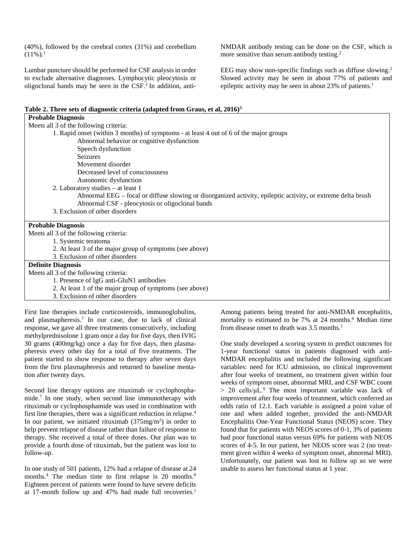(40%), followed by the cerebral cortex (31%) and cerebellum  $(11\%)$ <sup>1</sup>

Lumbar puncture should be performed for CSF analysis in order to exclude alternative diagnoses. Lymphocytic pleocytosis or oligoclonal bands may be seen in the CSF.2 In addition, anti-

Table 2. Three sets of diagnostic criteria (adapted from Graus, et al, 2016)<sup>5</sup>

NMDAR antibody testing can be done on the CSF, which is more sensitive than serum antibody testing.<sup>2</sup>

EEG may show non-specific findings such as diffuse slowing.<sup>2</sup> Slowed activity may be seen in about 77% of patients and epileptic activity may be seen in about 23% of patients.<sup>1</sup>

| Meets all 3 of the following criteria:<br>1. Rapid onset (within 3 months) of symptoms - at least 4 out of 6 of the major groups<br>Abnormal behavior or cognitive dysfunction<br>Speech dysfunction<br><b>Seizures</b><br>Movement disorder<br>Decreased level of consciousness<br>Autonomic dysfunction<br>2. Laboratory studies – at least 1<br>Abnormal EEG – focal or diffuse slowing or disorganized activity, epileptic activity, or extreme delta brush<br>Abnormal CSF - pleocytosis or oligoclonal bands<br>3. Exclusion of other disorders<br><b>Probable Diagnosis</b><br>Meets all 3 of the following criteria:<br>1. Systemic teratoma<br>2. At least 3 of the major group of symptoms (see above)<br>3. Exclusion of other disorders<br><b>Definite Diagnosis</b><br>Meets all 3 of the following criteria: | <b>Probable Diagnosis</b>                |  |  |
|----------------------------------------------------------------------------------------------------------------------------------------------------------------------------------------------------------------------------------------------------------------------------------------------------------------------------------------------------------------------------------------------------------------------------------------------------------------------------------------------------------------------------------------------------------------------------------------------------------------------------------------------------------------------------------------------------------------------------------------------------------------------------------------------------------------------------|------------------------------------------|--|--|
|                                                                                                                                                                                                                                                                                                                                                                                                                                                                                                                                                                                                                                                                                                                                                                                                                            |                                          |  |  |
|                                                                                                                                                                                                                                                                                                                                                                                                                                                                                                                                                                                                                                                                                                                                                                                                                            |                                          |  |  |
|                                                                                                                                                                                                                                                                                                                                                                                                                                                                                                                                                                                                                                                                                                                                                                                                                            |                                          |  |  |
|                                                                                                                                                                                                                                                                                                                                                                                                                                                                                                                                                                                                                                                                                                                                                                                                                            |                                          |  |  |
|                                                                                                                                                                                                                                                                                                                                                                                                                                                                                                                                                                                                                                                                                                                                                                                                                            |                                          |  |  |
|                                                                                                                                                                                                                                                                                                                                                                                                                                                                                                                                                                                                                                                                                                                                                                                                                            |                                          |  |  |
|                                                                                                                                                                                                                                                                                                                                                                                                                                                                                                                                                                                                                                                                                                                                                                                                                            |                                          |  |  |
|                                                                                                                                                                                                                                                                                                                                                                                                                                                                                                                                                                                                                                                                                                                                                                                                                            |                                          |  |  |
|                                                                                                                                                                                                                                                                                                                                                                                                                                                                                                                                                                                                                                                                                                                                                                                                                            |                                          |  |  |
|                                                                                                                                                                                                                                                                                                                                                                                                                                                                                                                                                                                                                                                                                                                                                                                                                            |                                          |  |  |
|                                                                                                                                                                                                                                                                                                                                                                                                                                                                                                                                                                                                                                                                                                                                                                                                                            |                                          |  |  |
|                                                                                                                                                                                                                                                                                                                                                                                                                                                                                                                                                                                                                                                                                                                                                                                                                            |                                          |  |  |
|                                                                                                                                                                                                                                                                                                                                                                                                                                                                                                                                                                                                                                                                                                                                                                                                                            |                                          |  |  |
|                                                                                                                                                                                                                                                                                                                                                                                                                                                                                                                                                                                                                                                                                                                                                                                                                            |                                          |  |  |
|                                                                                                                                                                                                                                                                                                                                                                                                                                                                                                                                                                                                                                                                                                                                                                                                                            |                                          |  |  |
|                                                                                                                                                                                                                                                                                                                                                                                                                                                                                                                                                                                                                                                                                                                                                                                                                            |                                          |  |  |
|                                                                                                                                                                                                                                                                                                                                                                                                                                                                                                                                                                                                                                                                                                                                                                                                                            |                                          |  |  |
|                                                                                                                                                                                                                                                                                                                                                                                                                                                                                                                                                                                                                                                                                                                                                                                                                            |                                          |  |  |
|                                                                                                                                                                                                                                                                                                                                                                                                                                                                                                                                                                                                                                                                                                                                                                                                                            |                                          |  |  |
|                                                                                                                                                                                                                                                                                                                                                                                                                                                                                                                                                                                                                                                                                                                                                                                                                            | 1. Presence of IgG anti-GluN1 antibodies |  |  |
| 2. At least 1 of the major group of symptoms (see above)                                                                                                                                                                                                                                                                                                                                                                                                                                                                                                                                                                                                                                                                                                                                                                   |                                          |  |  |
| 3. Exclusion of other disorders                                                                                                                                                                                                                                                                                                                                                                                                                                                                                                                                                                                                                                                                                                                                                                                            |                                          |  |  |

First line therapies include corticosteroids, immunoglobulins, and plasmapheresis.7 In our case, due to lack of clinical response, we gave all three treatments consecutively, including methylprednisolone 1 gram once a day for five days, then IVIG 30 grams (400mg/kg) once a day for five days, then plasmapheresis every other day for a total of five treatments. The patient started to show response to therapy after seven days from the first plasmapheresis and returned to baseline mentation after twenty days.

Second line therapy options are rituximab or cyclophosphamide.7 In one study, when second line immunotherapy with rituximab or cyclophosphamide was used in combination with first line therapies, there was a significant reduction in relapse.4 In our patient, we initiated rituximab  $(375mg/m<sup>2</sup>)$  in order to help prevent relapse of disease rather than failure of response to therapy. She received a total of three doses. Our plan was to provide a fourth dose of rituximab, but the patient was lost to follow-up.

In one study of 501 patients, 12% had a relapse of disease at 24 months.<sup>4</sup> The median time to first relapse is 20 months.<sup>8</sup> Eighteen percent of patients were found to have severe deficits at 17-month follow up and 47% had made full recoveries.<sup>1</sup>

Among patients being treated for anti-NMDAR encephalitis, mortality is estimated to be 7% at 24 months.<sup>4</sup> Median time from disease onset to death was 3.5 months.<sup>1</sup>

One study developed a scoring system to predict outcomes for 1-year functional status in patients diagnosed with anti-NMDAR encephalitis and included the following significant variables: need for ICU admission, no clinical improvement after four weeks of treatment, no treatment given within four weeks of symptom onset, abnormal MRI, and CSF WBC count  $> 20$  cells/ $\mu$ L.<sup>9</sup> The most important variable was lack of improvement after four weeks of treatment, which conferred an odds ratio of 12.1. Each variable is assigned a point value of one and when added together, provided the anti-NMDAR Encephalitis One-Year Functional Status (NEOS) score. They found that for patients with NEOS scores of 0-1, 3% of patients had poor functional status versus 69% for patients with NEOS scores of 4-5. In our patient, her NEOS score was 2 (no treatment given within 4 weeks of symptom onset, abnormal MRI). Unfortunately, our patient was lost to follow up so we were unable to assess her functional status at 1 year.